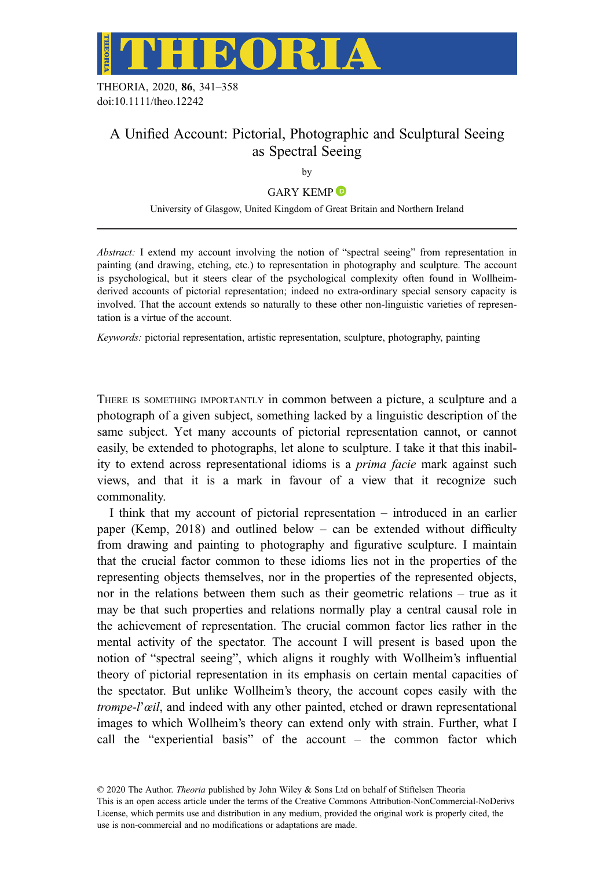

THEORIA, 2020, 86, 341–358 doi:10.1111/theo.12242

# A Unified Account: Pictorial, Photographic and Sculptural Seeing as Spectral Seeing

by

## GARY KEMP<sup>D</sup>

University of Glasgow, United Kingdom of Great Britain and Northern Ireland

Abstract: I extend my account involving the notion of "spectral seeing" from representation in painting (and drawing, etching, etc.) to representation in photography and sculpture. The account is psychological, but it steers clear of the psychological complexity often found in Wollheimderived accounts of pictorial representation; indeed no extra-ordinary special sensory capacity is involved. That the account extends so naturally to these other non-linguistic varieties of representation is a virtue of the account.

Keywords: pictorial representation, artistic representation, sculpture, photography, painting

THERE IS SOMETHING IMPORTANTLY in common between a picture, a sculpture and a photograph of a given subject, something lacked by a linguistic description of the same subject. Yet many accounts of pictorial representation cannot, or cannot easily, be extended to photographs, let alone to sculpture. I take it that this inability to extend across representational idioms is a prima facie mark against such views, and that it is a mark in favour of a view that it recognize such commonality.

I think that my account of pictorial representation – introduced in an earlier paper (Kemp, 2018) and outlined below – can be extended without difficulty from drawing and painting to photography and figurative sculpture. I maintain that the crucial factor common to these idioms lies not in the properties of the representing objects themselves, nor in the properties of the represented objects, nor in the relations between them such as their geometric relations – true as it may be that such properties and relations normally play a central causal role in the achievement of representation. The crucial common factor lies rather in the mental activity of the spectator. The account I will present is based upon the notion of "spectral seeing", which aligns it roughly with Wollheim's influential theory of pictorial representation in its emphasis on certain mental capacities of the spectator. But unlike Wollheim's theory, the account copes easily with the trompe-l'œil, and indeed with any other painted, etched or drawn representational images to which Wollheim's theory can extend only with strain. Further, what I call the "experiential basis" of the account – the common factor which

This is an open access article under the terms of the [Creative Commons Attribution-NonCommercial-NoDerivs](http://creativecommons.org/licenses/by-nc-nd/4.0/) License, which permits use and distribution in any medium, provided the original work is properly cited, the use is non-commercial and no modifications or adaptations are made.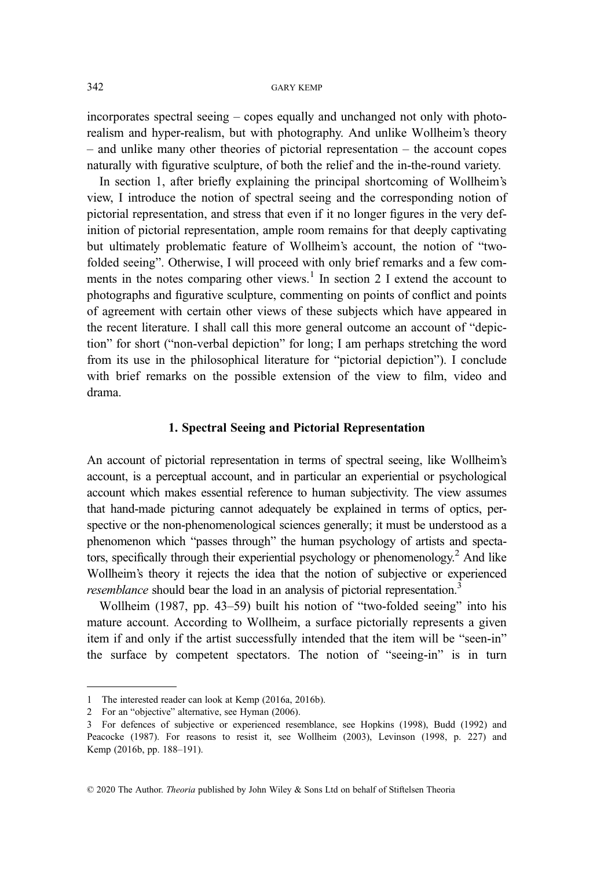incorporates spectral seeing – copes equally and unchanged not only with photorealism and hyper-realism, but with photography. And unlike Wollheim's theory – and unlike many other theories of pictorial representation – the account copes naturally with figurative sculpture, of both the relief and the in-the-round variety.

In section 1, after briefly explaining the principal shortcoming of Wollheim's view, I introduce the notion of spectral seeing and the corresponding notion of pictorial representation, and stress that even if it no longer figures in the very definition of pictorial representation, ample room remains for that deeply captivating but ultimately problematic feature of Wollheim's account, the notion of "twofolded seeing". Otherwise, I will proceed with only brief remarks and a few comments in the notes comparing other views.<sup>1</sup> In section 2 I extend the account to photographs and figurative sculpture, commenting on points of conflict and points of agreement with certain other views of these subjects which have appeared in the recent literature. I shall call this more general outcome an account of "depiction" for short ("non-verbal depiction" for long; I am perhaps stretching the word from its use in the philosophical literature for "pictorial depiction"). I conclude with brief remarks on the possible extension of the view to film, video and drama.

## 1. Spectral Seeing and Pictorial Representation

An account of pictorial representation in terms of spectral seeing, like Wollheim's account, is a perceptual account, and in particular an experiential or psychological account which makes essential reference to human subjectivity. The view assumes that hand-made picturing cannot adequately be explained in terms of optics, perspective or the non-phenomenological sciences generally; it must be understood as a phenomenon which "passes through" the human psychology of artists and spectators, specifically through their experiential psychology or phenomenology.2 And like Wollheim's theory it rejects the idea that the notion of subjective or experienced resemblance should bear the load in an analysis of pictorial representation.<sup>3</sup>

Wollheim (1987, pp. 43–59) built his notion of "two-folded seeing" into his mature account. According to Wollheim, a surface pictorially represents a given item if and only if the artist successfully intended that the item will be "seen-in" the surface by competent spectators. The notion of "seeing-in" is in turn

<sup>1</sup> The interested reader can look at Kemp (2016a, 2016b).

<sup>2</sup> For an "objective" alternative, see Hyman (2006).

<sup>3</sup> For defences of subjective or experienced resemblance, see Hopkins (1998), Budd (1992) and Peacocke (1987). For reasons to resist it, see Wollheim (2003), Levinson (1998, p. 227) and Kemp (2016b, pp. 188–191).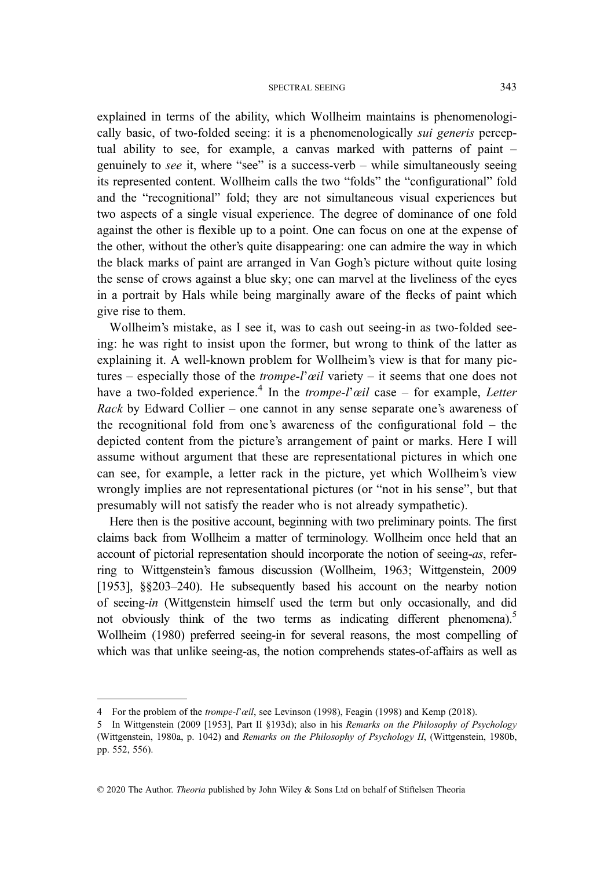explained in terms of the ability, which Wollheim maintains is phenomenologically basic, of two-folded seeing: it is a phenomenologically sui generis perceptual ability to see, for example, a canvas marked with patterns of paint – genuinely to see it, where "see" is a success-verb – while simultaneously seeing its represented content. Wollheim calls the two "folds" the "configurational" fold and the "recognitional" fold; they are not simultaneous visual experiences but two aspects of a single visual experience. The degree of dominance of one fold against the other is flexible up to a point. One can focus on one at the expense of the other, without the other's quite disappearing: one can admire the way in which the black marks of paint are arranged in Van Gogh's picture without quite losing the sense of crows against a blue sky; one can marvel at the liveliness of the eyes in a portrait by Hals while being marginally aware of the flecks of paint which give rise to them.

Wollheim's mistake, as I see it, was to cash out seeing-in as two-folded seeing: he was right to insist upon the former, but wrong to think of the latter as explaining it. A well-known problem for Wollheim's view is that for many pictures – especially those of the *trompe-l'œil* variety – it seems that one does not have a two-folded experience.<sup>4</sup> In the *trompe-l'œil* case – for example, *Letter* Rack by Edward Collier – one cannot in any sense separate one's awareness of the recognitional fold from one's awareness of the configurational fold – the depicted content from the picture's arrangement of paint or marks. Here I will assume without argument that these are representational pictures in which one can see, for example, a letter rack in the picture, yet which Wollheim's view wrongly implies are not representational pictures (or "not in his sense", but that presumably will not satisfy the reader who is not already sympathetic).

Here then is the positive account, beginning with two preliminary points. The first claims back from Wollheim a matter of terminology. Wollheim once held that an account of pictorial representation should incorporate the notion of seeing-as, referring to Wittgenstein's famous discussion (Wollheim, 1963; Wittgenstein, 2009 [1953], §§203–240). He subsequently based his account on the nearby notion of seeing-in (Wittgenstein himself used the term but only occasionally, and did not obviously think of the two terms as indicating different phenomena).<sup>5</sup> Wollheim (1980) preferred seeing-in for several reasons, the most compelling of which was that unlike seeing-as, the notion comprehends states-of-affairs as well as

<sup>4</sup> For the problem of the trompe-l'œil, see Levinson (1998), Feagin (1998) and Kemp (2018).

<sup>5</sup> In Wittgenstein (2009 [1953], Part II §193d); also in his Remarks on the Philosophy of Psychology (Wittgenstein, 1980a, p. 1042) and Remarks on the Philosophy of Psychology II, (Wittgenstein, 1980b, pp. 552, 556).

<sup>© 2020</sup> The Author. Theoria published by John Wiley & Sons Ltd on behalf of Stiftelsen Theoria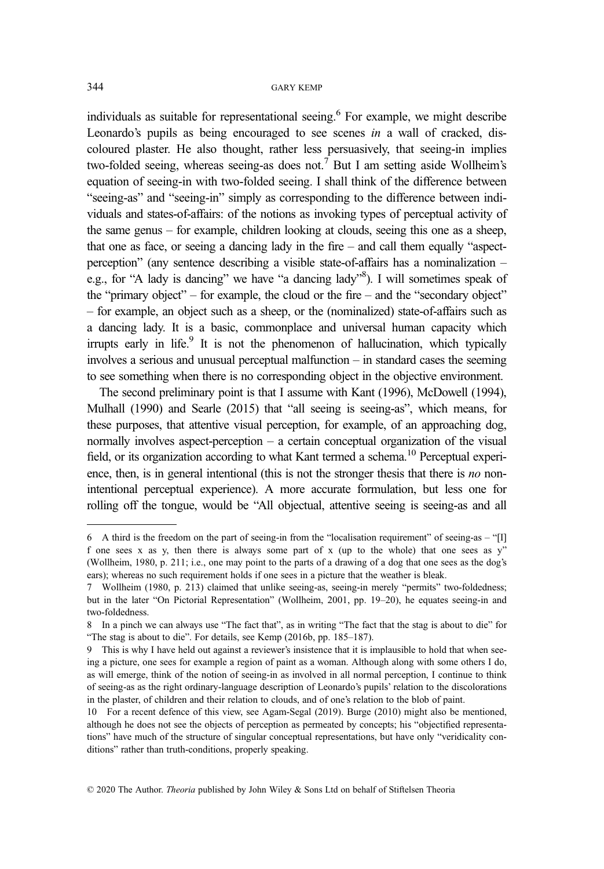individuals as suitable for representational seeing.<sup>6</sup> For example, we might describe Leonardo's pupils as being encouraged to see scenes in a wall of cracked, discoloured plaster. He also thought, rather less persuasively, that seeing-in implies two-folded seeing, whereas seeing-as does not.<sup>7</sup> But I am setting aside Wollheim's equation of seeing-in with two-folded seeing. I shall think of the difference between "seeing-as" and "seeing-in" simply as corresponding to the difference between individuals and states-of-affairs: of the notions as invoking types of perceptual activity of the same genus – for example, children looking at clouds, seeing this one as a sheep, that one as face, or seeing a dancing lady in the fire – and call them equally "aspectperception" (any sentence describing a visible state-of-affairs has a nominalization – e.g., for "A lady is dancing" we have "a dancing lady"<sup>8</sup>). I will sometimes speak of the "primary object" – for example, the cloud or the fire – and the "secondary object" – for example, an object such as a sheep, or the (nominalized) state-of-affairs such as a dancing lady. It is a basic, commonplace and universal human capacity which irrupts early in life. $9$  It is not the phenomenon of hallucination, which typically involves a serious and unusual perceptual malfunction – in standard cases the seeming to see something when there is no corresponding object in the objective environment.

The second preliminary point is that I assume with Kant (1996), McDowell (1994), Mulhall (1990) and Searle (2015) that "all seeing is seeing-as", which means, for these purposes, that attentive visual perception, for example, of an approaching dog, normally involves aspect-perception – a certain conceptual organization of the visual field, or its organization according to what Kant termed a schema.<sup>10</sup> Perceptual experience, then, is in general intentional (this is not the stronger thesis that there is no nonintentional perceptual experience). A more accurate formulation, but less one for rolling off the tongue, would be "All objectual, attentive seeing is seeing-as and all

<sup>6</sup> A third is the freedom on the part of seeing-in from the "localisation requirement" of seeing-as – "[I] f one sees x as y, then there is always some part of x (up to the whole) that one sees as y" (Wollheim, 1980, p. 211; i.e., one may point to the parts of a drawing of a dog that one sees as the dog's ears); whereas no such requirement holds if one sees in a picture that the weather is bleak.

<sup>7</sup> Wollheim (1980, p. 213) claimed that unlike seeing-as, seeing-in merely "permits" two-foldedness; but in the later "On Pictorial Representation" (Wollheim, 2001, pp. 19–20), he equates seeing-in and two-foldedness.

<sup>8</sup> In a pinch we can always use "The fact that", as in writing "The fact that the stag is about to die" for "The stag is about to die". For details, see Kemp (2016b, pp. 185–187).

<sup>9</sup> This is why I have held out against a reviewer's insistence that it is implausible to hold that when seeing a picture, one sees for example a region of paint as a woman. Although along with some others I do, as will emerge, think of the notion of seeing-in as involved in all normal perception, I continue to think of seeing-as as the right ordinary-language description of Leonardo's pupils' relation to the discolorations in the plaster, of children and their relation to clouds, and of one's relation to the blob of paint.

<sup>10</sup> For a recent defence of this view, see Agam-Segal (2019). Burge (2010) might also be mentioned, although he does not see the objects of perception as permeated by concepts; his "objectified representations" have much of the structure of singular conceptual representations, but have only "veridicality conditions" rather than truth-conditions, properly speaking.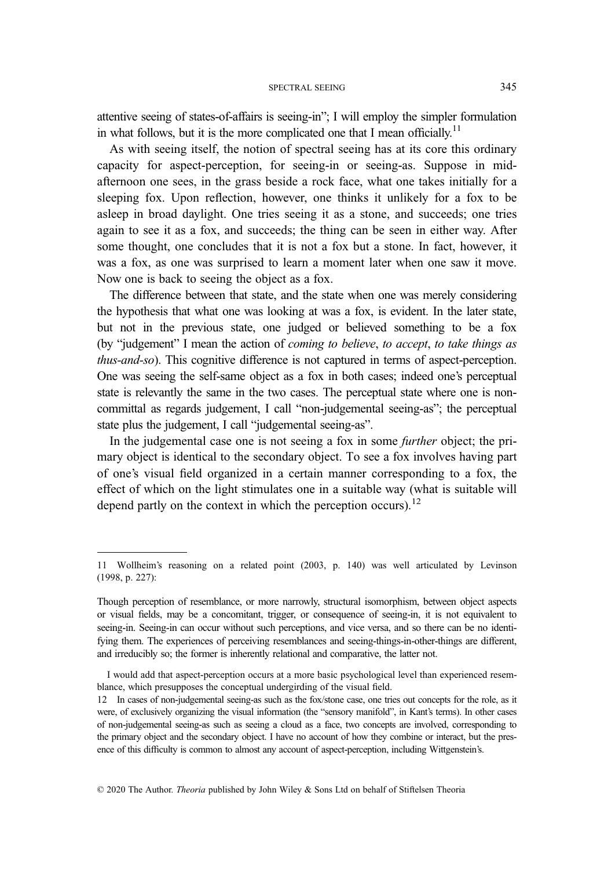attentive seeing of states-of-affairs is seeing-in"; I will employ the simpler formulation in what follows, but it is the more complicated one that I mean officially.<sup>11</sup>

As with seeing itself, the notion of spectral seeing has at its core this ordinary capacity for aspect-perception, for seeing-in or seeing-as. Suppose in midafternoon one sees, in the grass beside a rock face, what one takes initially for a sleeping fox. Upon reflection, however, one thinks it unlikely for a fox to be asleep in broad daylight. One tries seeing it as a stone, and succeeds; one tries again to see it as a fox, and succeeds; the thing can be seen in either way. After some thought, one concludes that it is not a fox but a stone. In fact, however, it was a fox, as one was surprised to learn a moment later when one saw it move. Now one is back to seeing the object as a fox.

The difference between that state, and the state when one was merely considering the hypothesis that what one was looking at was a fox, is evident. In the later state, but not in the previous state, one judged or believed something to be a fox (by "judgement" I mean the action of coming to believe, to accept, to take things as thus-and-so). This cognitive difference is not captured in terms of aspect-perception. One was seeing the self-same object as a fox in both cases; indeed one's perceptual state is relevantly the same in the two cases. The perceptual state where one is noncommittal as regards judgement, I call "non-judgemental seeing-as"; the perceptual state plus the judgement, I call "judgemental seeing-as".

In the judgemental case one is not seeing a fox in some further object; the primary object is identical to the secondary object. To see a fox involves having part of one's visual field organized in a certain manner corresponding to a fox, the effect of which on the light stimulates one in a suitable way (what is suitable will depend partly on the context in which the perception occurs).<sup>12</sup>

<sup>11</sup> Wollheim's reasoning on a related point (2003, p. 140) was well articulated by Levinson (1998, p. 227):

Though perception of resemblance, or more narrowly, structural isomorphism, between object aspects or visual fields, may be a concomitant, trigger, or consequence of seeing-in, it is not equivalent to seeing-in. Seeing-in can occur without such perceptions, and vice versa, and so there can be no identifying them. The experiences of perceiving resemblances and seeing-things-in-other-things are different, and irreducibly so; the former is inherently relational and comparative, the latter not.

I would add that aspect-perception occurs at a more basic psychological level than experienced resemblance, which presupposes the conceptual undergirding of the visual field.

<sup>12</sup> In cases of non-judgemental seeing-as such as the fox/stone case, one tries out concepts for the role, as it were, of exclusively organizing the visual information (the "sensory manifold", in Kant's terms). In other cases of non-judgemental seeing-as such as seeing a cloud as a face, two concepts are involved, corresponding to the primary object and the secondary object. I have no account of how they combine or interact, but the presence of this difficulty is common to almost any account of aspect-perception, including Wittgenstein's.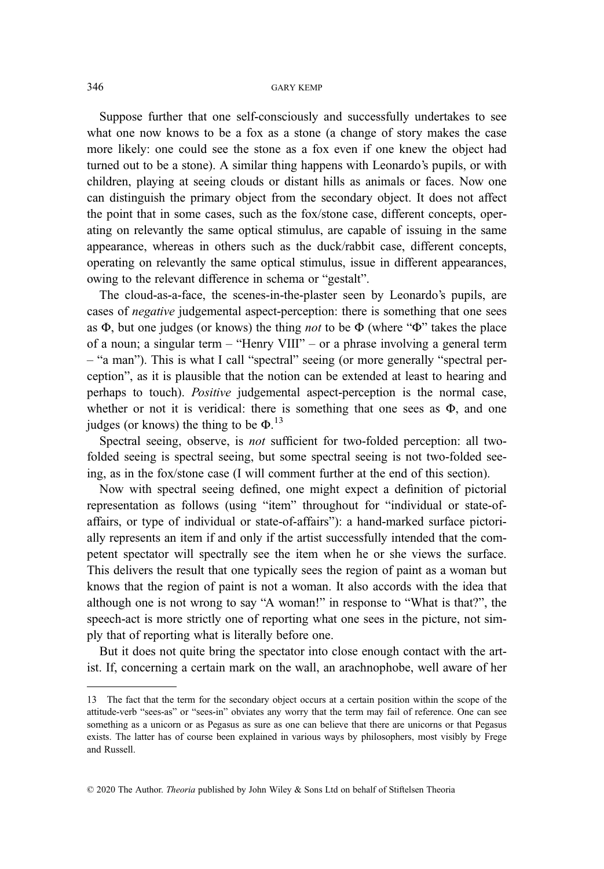Suppose further that one self-consciously and successfully undertakes to see what one now knows to be a fox as a stone (a change of story makes the case more likely: one could see the stone as a fox even if one knew the object had turned out to be a stone). A similar thing happens with Leonardo's pupils, or with children, playing at seeing clouds or distant hills as animals or faces. Now one can distinguish the primary object from the secondary object. It does not affect the point that in some cases, such as the fox/stone case, different concepts, operating on relevantly the same optical stimulus, are capable of issuing in the same appearance, whereas in others such as the duck/rabbit case, different concepts, operating on relevantly the same optical stimulus, issue in different appearances, owing to the relevant difference in schema or "gestalt".

The cloud-as-a-face, the scenes-in-the-plaster seen by Leonardo's pupils, are cases of negative judgemental aspect-perception: there is something that one sees as  $\Phi$ , but one judges (or knows) the thing *not* to be  $\Phi$  (where " $\Phi$ " takes the place of a noun; a singular term – "Henry VIII" – or a phrase involving a general term – "a man"). This is what I call "spectral" seeing (or more generally "spectral perception", as it is plausible that the notion can be extended at least to hearing and perhaps to touch). Positive judgemental aspect-perception is the normal case, whether or not it is veridical: there is something that one sees as  $\Phi$ , and one judges (or knows) the thing to be  $\Phi$ .<sup>13</sup>

Spectral seeing, observe, is not sufficient for two-folded perception: all twofolded seeing is spectral seeing, but some spectral seeing is not two-folded seeing, as in the fox/stone case (I will comment further at the end of this section).

Now with spectral seeing defined, one might expect a definition of pictorial representation as follows (using "item" throughout for "individual or state-ofaffairs, or type of individual or state-of-affairs"): a hand-marked surface pictorially represents an item if and only if the artist successfully intended that the competent spectator will spectrally see the item when he or she views the surface. This delivers the result that one typically sees the region of paint as a woman but knows that the region of paint is not a woman. It also accords with the idea that although one is not wrong to say "A woman!" in response to "What is that?", the speech-act is more strictly one of reporting what one sees in the picture, not simply that of reporting what is literally before one.

But it does not quite bring the spectator into close enough contact with the artist. If, concerning a certain mark on the wall, an arachnophobe, well aware of her

<sup>13</sup> The fact that the term for the secondary object occurs at a certain position within the scope of the attitude-verb "sees-as" or "sees-in" obviates any worry that the term may fail of reference. One can see something as a unicorn or as Pegasus as sure as one can believe that there are unicorns or that Pegasus exists. The latter has of course been explained in various ways by philosophers, most visibly by Frege and Russell.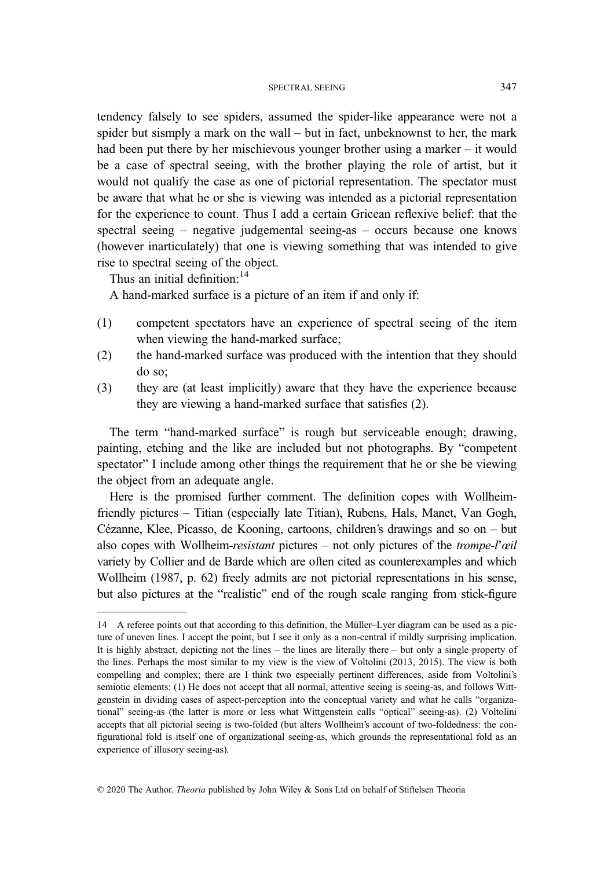tendency falsely to see spiders, assumed the spider-like appearance were not a spider but sismply a mark on the wall – but in fact, unbeknownst to her, the mark had been put there by her mischievous younger brother using a marker – it would be a case of spectral seeing, with the brother playing the role of artist, but it would not qualify the case as one of pictorial representation. The spectator must be aware that what he or she is viewing was intended as a pictorial representation for the experience to count. Thus I add a certain Gricean reflexive belief: that the spectral seeing – negative judgemental seeing-as – occurs because one knows (however inarticulately) that one is viewing something that was intended to give rise to spectral seeing of the object.

Thus an initial definition: $14$ 

A hand-marked surface is a picture of an item if and only if:

- (1) competent spectators have an experience of spectral seeing of the item when viewing the hand-marked surface;
- (2) the hand-marked surface was produced with the intention that they should do so;
- (3) they are (at least implicitly) aware that they have the experience because they are viewing a hand-marked surface that satisfies (2).

The term "hand-marked surface" is rough but serviceable enough; drawing, painting, etching and the like are included but not photographs. By "competent spectator" I include among other things the requirement that he or she be viewing the object from an adequate angle.

Here is the promised further comment. The definition copes with Wollheimfriendly pictures – Titian (especially late Titian), Rubens, Hals, Manet, Van Gogh, Cézanne, Klee, Picasso, de Kooning, cartoons, children's drawings and so on – but also copes with Wollheim-resistant pictures – not only pictures of the *trompe-l'œil* variety by Collier and de Barde which are often cited as counterexamples and which Wollheim (1987, p. 62) freely admits are not pictorial representations in his sense, but also pictures at the "realistic" end of the rough scale ranging from stick-figure

<sup>14</sup> A referee points out that according to this definition, the Müller–Lyer diagram can be used as a picture of uneven lines. I accept the point, but I see it only as a non-central if mildly surprising implication. It is highly abstract, depicting not the lines – the lines are literally there – but only a single property of the lines. Perhaps the most similar to my view is the view of Voltolini (2013, 2015). The view is both compelling and complex; there are I think two especially pertinent differences, aside from Voltolini's semiotic elements: (1) He does not accept that all normal, attentive seeing is seeing-as, and follows Wittgenstein in dividing cases of aspect-perception into the conceptual variety and what he calls "organizational" seeing-as (the latter is more or less what Wittgenstein calls "optical" seeing-as). (2) Voltolini accepts that all pictorial seeing is two-folded (but alters Wollheim's account of two-foldedness: the configurational fold is itself one of organizational seeing-as, which grounds the representational fold as an experience of illusory seeing-as).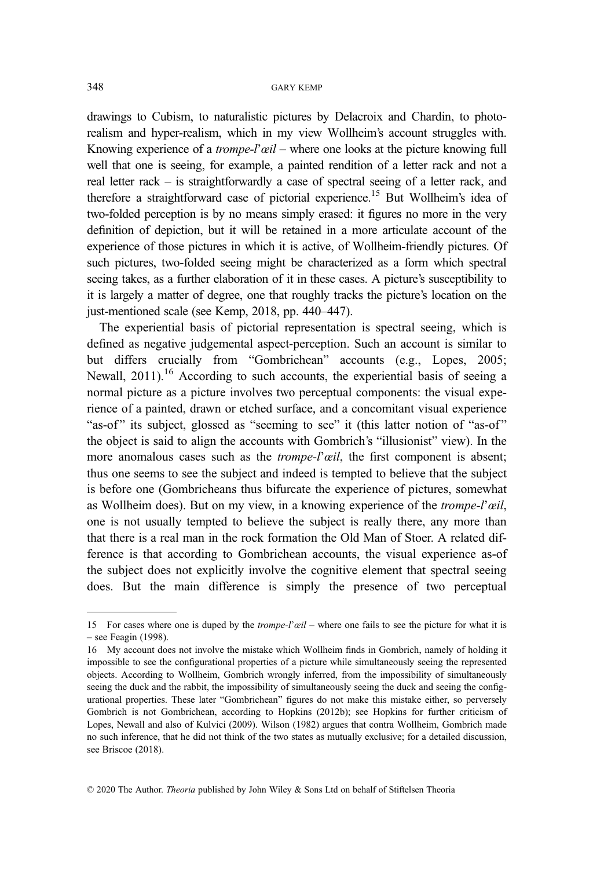drawings to Cubism, to naturalistic pictures by Delacroix and Chardin, to photorealism and hyper-realism, which in my view Wollheim's account struggles with. Knowing experience of a *trompe-l'œil* – where one looks at the picture knowing full well that one is seeing, for example, a painted rendition of a letter rack and not a real letter rack – is straightforwardly a case of spectral seeing of a letter rack, and therefore a straightforward case of pictorial experience.15 But Wollheim's idea of two-folded perception is by no means simply erased: it figures no more in the very definition of depiction, but it will be retained in a more articulate account of the experience of those pictures in which it is active, of Wollheim-friendly pictures. Of such pictures, two-folded seeing might be characterized as a form which spectral seeing takes, as a further elaboration of it in these cases. A picture's susceptibility to it is largely a matter of degree, one that roughly tracks the picture's location on the just-mentioned scale (see Kemp, 2018, pp. 440–447).

The experiential basis of pictorial representation is spectral seeing, which is defined as negative judgemental aspect-perception. Such an account is similar to but differs crucially from "Gombrichean" accounts (e.g., Lopes, 2005; Newall,  $2011$ ).<sup>16</sup> According to such accounts, the experiential basis of seeing a normal picture as a picture involves two perceptual components: the visual experience of a painted, drawn or etched surface, and a concomitant visual experience "as-of" its subject, glossed as "seeming to see" it (this latter notion of "as-of" the object is said to align the accounts with Gombrich's "illusionist" view). In the more anomalous cases such as the *trompe-l'œil*, the first component is absent; thus one seems to see the subject and indeed is tempted to believe that the subject is before one (Gombricheans thus bifurcate the experience of pictures, somewhat as Wollheim does). But on my view, in a knowing experience of the *trompe-l'œil*, one is not usually tempted to believe the subject is really there, any more than that there is a real man in the rock formation the Old Man of Stoer. A related difference is that according to Gombrichean accounts, the visual experience as-of the subject does not explicitly involve the cognitive element that spectral seeing does. But the main difference is simply the presence of two perceptual

<sup>15</sup> For cases where one is duped by the *trompe-l'œil* – where one fails to see the picture for what it is – see Feagin (1998).

<sup>16</sup> My account does not involve the mistake which Wollheim finds in Gombrich, namely of holding it impossible to see the configurational properties of a picture while simultaneously seeing the represented objects. According to Wollheim, Gombrich wrongly inferred, from the impossibility of simultaneously seeing the duck and the rabbit, the impossibility of simultaneously seeing the duck and seeing the configurational properties. These later "Gombrichean" figures do not make this mistake either, so perversely Gombrich is not Gombrichean, according to Hopkins (2012b); see Hopkins for further criticism of Lopes, Newall and also of Kulvici (2009). Wilson (1982) argues that contra Wollheim, Gombrich made no such inference, that he did not think of the two states as mutually exclusive; for a detailed discussion, see Briscoe (2018).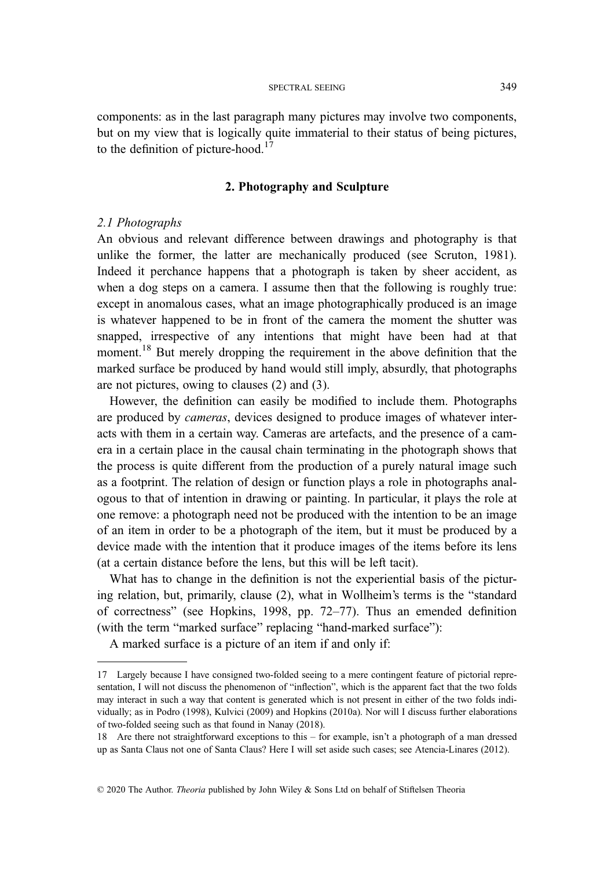components: as in the last paragraph many pictures may involve two components, but on my view that is logically quite immaterial to their status of being pictures, to the definition of picture-hood. $17$ 

## 2. Photography and Sculpture

## 2.1 Photographs

An obvious and relevant difference between drawings and photography is that unlike the former, the latter are mechanically produced (see Scruton, 1981). Indeed it perchance happens that a photograph is taken by sheer accident, as when a dog steps on a camera. I assume then that the following is roughly true: except in anomalous cases, what an image photographically produced is an image is whatever happened to be in front of the camera the moment the shutter was snapped, irrespective of any intentions that might have been had at that moment.<sup>18</sup> But merely dropping the requirement in the above definition that the marked surface be produced by hand would still imply, absurdly, that photographs are not pictures, owing to clauses (2) and (3).

However, the definition can easily be modified to include them. Photographs are produced by cameras, devices designed to produce images of whatever interacts with them in a certain way. Cameras are artefacts, and the presence of a camera in a certain place in the causal chain terminating in the photograph shows that the process is quite different from the production of a purely natural image such as a footprint. The relation of design or function plays a role in photographs analogous to that of intention in drawing or painting. In particular, it plays the role at one remove: a photograph need not be produced with the intention to be an image of an item in order to be a photograph of the item, but it must be produced by a device made with the intention that it produce images of the items before its lens (at a certain distance before the lens, but this will be left tacit).

What has to change in the definition is not the experiential basis of the picturing relation, but, primarily, clause (2), what in Wollheim's terms is the "standard of correctness" (see Hopkins, 1998, pp. 72–77). Thus an emended definition (with the term "marked surface" replacing "hand-marked surface"):

A marked surface is a picture of an item if and only if:

<sup>17</sup> Largely because I have consigned two-folded seeing to a mere contingent feature of pictorial representation, I will not discuss the phenomenon of "inflection", which is the apparent fact that the two folds may interact in such a way that content is generated which is not present in either of the two folds individually; as in Podro (1998), Kulvici (2009) and Hopkins (2010a). Nor will I discuss further elaborations of two-folded seeing such as that found in Nanay (2018).

<sup>18</sup> Are there not straightforward exceptions to this – for example, isn't a photograph of a man dressed up as Santa Claus not one of Santa Claus? Here I will set aside such cases; see Atencia-Linares (2012).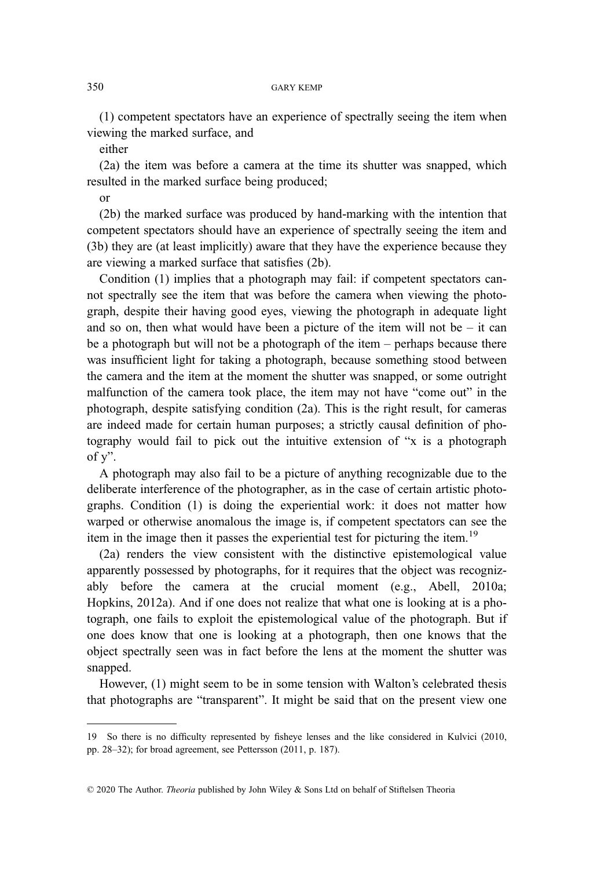(1) competent spectators have an experience of spectrally seeing the item when viewing the marked surface, and

either

(2a) the item was before a camera at the time its shutter was snapped, which resulted in the marked surface being produced;

or

(2b) the marked surface was produced by hand-marking with the intention that competent spectators should have an experience of spectrally seeing the item and (3b) they are (at least implicitly) aware that they have the experience because they are viewing a marked surface that satisfies (2b).

Condition (1) implies that a photograph may fail: if competent spectators cannot spectrally see the item that was before the camera when viewing the photograph, despite their having good eyes, viewing the photograph in adequate light and so on, then what would have been a picture of the item will not be  $-$  it can be a photograph but will not be a photograph of the item – perhaps because there was insufficient light for taking a photograph, because something stood between the camera and the item at the moment the shutter was snapped, or some outright malfunction of the camera took place, the item may not have "come out" in the photograph, despite satisfying condition (2a). This is the right result, for cameras are indeed made for certain human purposes; a strictly causal definition of photography would fail to pick out the intuitive extension of "x is a photograph of y".

A photograph may also fail to be a picture of anything recognizable due to the deliberate interference of the photographer, as in the case of certain artistic photographs. Condition (1) is doing the experiential work: it does not matter how warped or otherwise anomalous the image is, if competent spectators can see the item in the image then it passes the experiential test for picturing the item.<sup>19</sup>

(2a) renders the view consistent with the distinctive epistemological value apparently possessed by photographs, for it requires that the object was recognizably before the camera at the crucial moment (e.g., Abell, 2010a; Hopkins, 2012a). And if one does not realize that what one is looking at is a photograph, one fails to exploit the epistemological value of the photograph. But if one does know that one is looking at a photograph, then one knows that the object spectrally seen was in fact before the lens at the moment the shutter was snapped.

However, (1) might seem to be in some tension with Walton's celebrated thesis that photographs are "transparent". It might be said that on the present view one

<sup>19</sup> So there is no difficulty represented by fisheye lenses and the like considered in Kulvici (2010, pp. 28–32); for broad agreement, see Pettersson (2011, p. 187).

<sup>© 2020</sup> The Author. Theoria published by John Wiley & Sons Ltd on behalf of Stiftelsen Theoria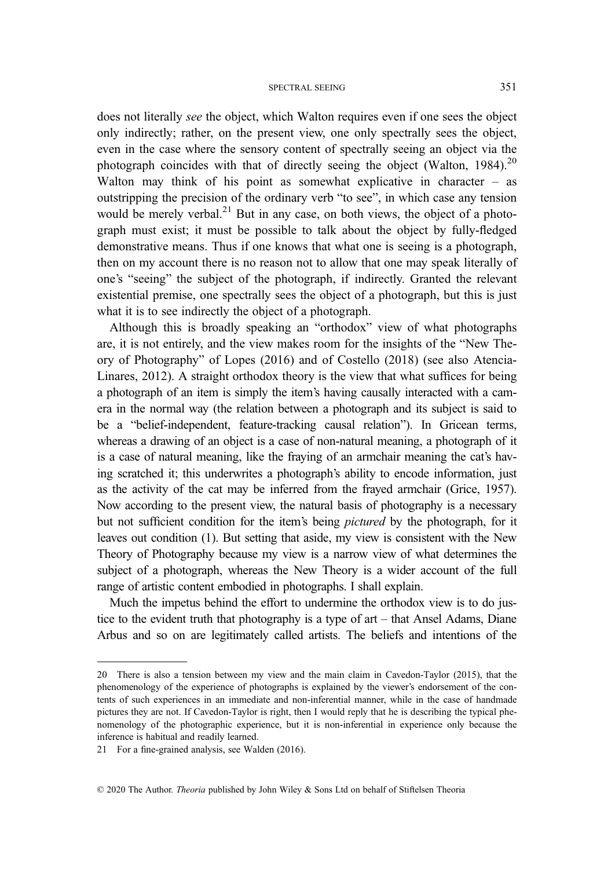does not literally see the object, which Walton requires even if one sees the object only indirectly; rather, on the present view, one only spectrally sees the object, even in the case where the sensory content of spectrally seeing an object via the photograph coincides with that of directly seeing the object (Walton, 1984).<sup>20</sup> Walton may think of his point as somewhat explicative in character – as outstripping the precision of the ordinary verb "to see", in which case any tension would be merely verbal.<sup>21</sup> But in any case, on both views, the object of a photograph must exist; it must be possible to talk about the object by fully-fledged demonstrative means. Thus if one knows that what one is seeing is a photograph, then on my account there is no reason not to allow that one may speak literally of one's "seeing" the subject of the photograph, if indirectly. Granted the relevant existential premise, one spectrally sees the object of a photograph, but this is just what it is to see indirectly the object of a photograph.

Although this is broadly speaking an "orthodox" view of what photographs are, it is not entirely, and the view makes room for the insights of the "New Theory of Photography" of Lopes (2016) and of Costello (2018) (see also Atencia-Linares, 2012). A straight orthodox theory is the view that what suffices for being a photograph of an item is simply the item's having causally interacted with a camera in the normal way (the relation between a photograph and its subject is said to be a "belief-independent, feature-tracking causal relation"). In Gricean terms, whereas a drawing of an object is a case of non-natural meaning, a photograph of it is a case of natural meaning, like the fraying of an armchair meaning the cat's having scratched it; this underwrites a photograph's ability to encode information, just as the activity of the cat may be inferred from the frayed armchair (Grice, 1957). Now according to the present view, the natural basis of photography is a necessary but not sufficient condition for the item's being pictured by the photograph, for it leaves out condition (1). But setting that aside, my view is consistent with the New Theory of Photography because my view is a narrow view of what determines the subject of a photograph, whereas the New Theory is a wider account of the full range of artistic content embodied in photographs. I shall explain.

Much the impetus behind the effort to undermine the orthodox view is to do justice to the evident truth that photography is a type of art – that Ansel Adams, Diane Arbus and so on are legitimately called artists. The beliefs and intentions of the

<sup>20</sup> There is also a tension between my view and the main claim in Cavedon-Taylor (2015), that the phenomenology of the experience of photographs is explained by the viewer's endorsement of the contents of such experiences in an immediate and non-inferential manner, while in the case of handmade pictures they are not. If Cavedon-Taylor is right, then I would reply that he is describing the typical phenomenology of the photographic experience, but it is non-inferential in experience only because the inference is habitual and readily learned.

<sup>21</sup> For a fine-grained analysis, see Walden (2016).

<sup>© 2020</sup> The Author. Theoria published by John Wiley & Sons Ltd on behalf of Stiftelsen Theoria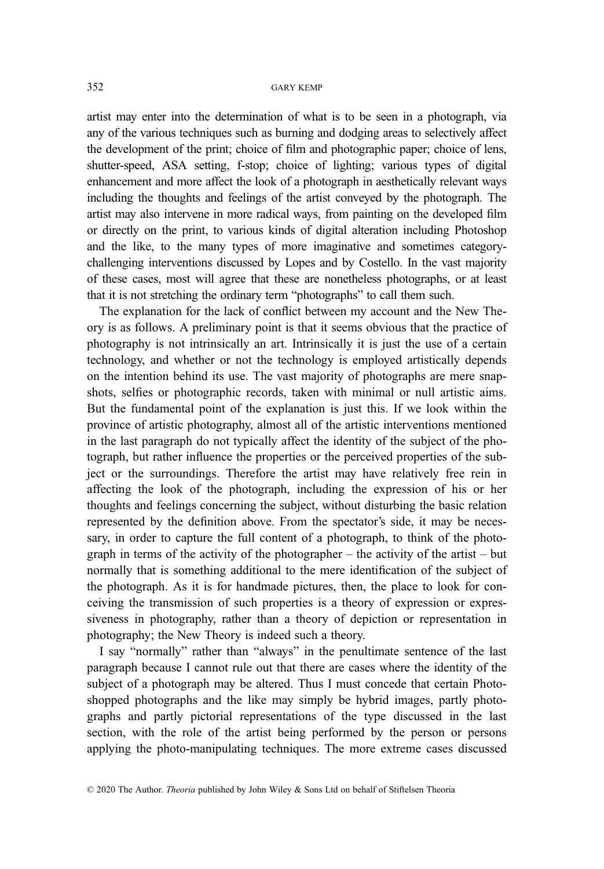artist may enter into the determination of what is to be seen in a photograph, via any of the various techniques such as burning and dodging areas to selectively affect the development of the print; choice of film and photographic paper; choice of lens, shutter-speed, ASA setting, f-stop; choice of lighting; various types of digital enhancement and more affect the look of a photograph in aesthetically relevant ways including the thoughts and feelings of the artist conveyed by the photograph. The artist may also intervene in more radical ways, from painting on the developed film or directly on the print, to various kinds of digital alteration including Photoshop and the like, to the many types of more imaginative and sometimes categorychallenging interventions discussed by Lopes and by Costello. In the vast majority of these cases, most will agree that these are nonetheless photographs, or at least that it is not stretching the ordinary term "photographs" to call them such.

The explanation for the lack of conflict between my account and the New Theory is as follows. A preliminary point is that it seems obvious that the practice of photography is not intrinsically an art. Intrinsically it is just the use of a certain technology, and whether or not the technology is employed artistically depends on the intention behind its use. The vast majority of photographs are mere snapshots, selfies or photographic records, taken with minimal or null artistic aims. But the fundamental point of the explanation is just this. If we look within the province of artistic photography, almost all of the artistic interventions mentioned in the last paragraph do not typically affect the identity of the subject of the photograph, but rather influence the properties or the perceived properties of the subject or the surroundings. Therefore the artist may have relatively free rein in affecting the look of the photograph, including the expression of his or her thoughts and feelings concerning the subject, without disturbing the basic relation represented by the definition above. From the spectator's side, it may be necessary, in order to capture the full content of a photograph, to think of the photograph in terms of the activity of the photographer – the activity of the artist – but normally that is something additional to the mere identification of the subject of the photograph. As it is for handmade pictures, then, the place to look for conceiving the transmission of such properties is a theory of expression or expressiveness in photography, rather than a theory of depiction or representation in photography; the New Theory is indeed such a theory.

I say "normally" rather than "always" in the penultimate sentence of the last paragraph because I cannot rule out that there are cases where the identity of the subject of a photograph may be altered. Thus I must concede that certain Photoshopped photographs and the like may simply be hybrid images, partly photographs and partly pictorial representations of the type discussed in the last section, with the role of the artist being performed by the person or persons applying the photo-manipulating techniques. The more extreme cases discussed

<sup>© 2020</sup> The Author. Theoria published by John Wiley & Sons Ltd on behalf of Stiftelsen Theoria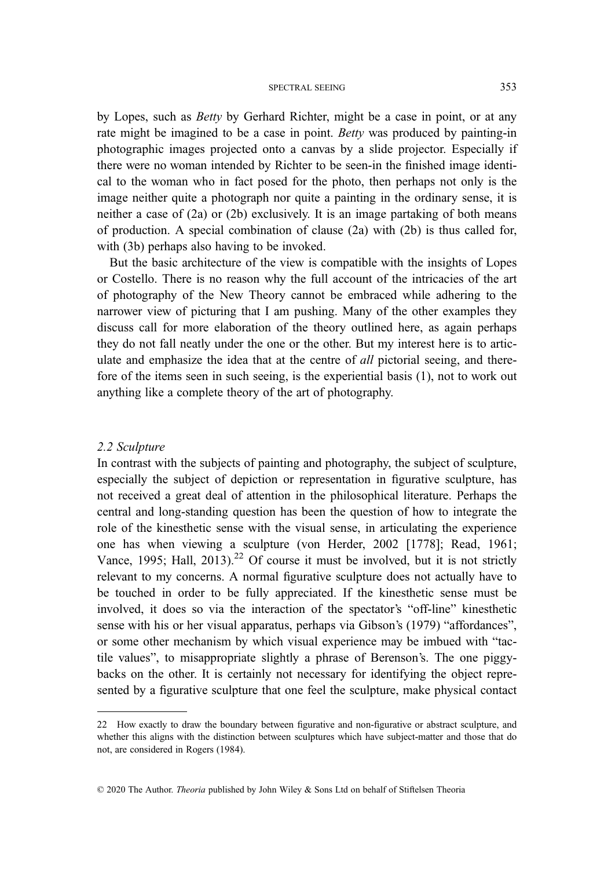by Lopes, such as Betty by Gerhard Richter, might be a case in point, or at any rate might be imagined to be a case in point. Betty was produced by painting-in photographic images projected onto a canvas by a slide projector. Especially if there were no woman intended by Richter to be seen-in the finished image identical to the woman who in fact posed for the photo, then perhaps not only is the image neither quite a photograph nor quite a painting in the ordinary sense, it is neither a case of (2a) or (2b) exclusively. It is an image partaking of both means of production. A special combination of clause (2a) with (2b) is thus called for, with (3b) perhaps also having to be invoked.

But the basic architecture of the view is compatible with the insights of Lopes or Costello. There is no reason why the full account of the intricacies of the art of photography of the New Theory cannot be embraced while adhering to the narrower view of picturing that I am pushing. Many of the other examples they discuss call for more elaboration of the theory outlined here, as again perhaps they do not fall neatly under the one or the other. But my interest here is to articulate and emphasize the idea that at the centre of all pictorial seeing, and therefore of the items seen in such seeing, is the experiential basis (1), not to work out anything like a complete theory of the art of photography.

#### 2.2 Sculpture

In contrast with the subjects of painting and photography, the subject of sculpture, especially the subject of depiction or representation in figurative sculpture, has not received a great deal of attention in the philosophical literature. Perhaps the central and long-standing question has been the question of how to integrate the role of the kinesthetic sense with the visual sense, in articulating the experience one has when viewing a sculpture (von Herder, 2002 [1778]; Read, 1961; Vance, 1995; Hall, 2013).<sup>22</sup> Of course it must be involved, but it is not strictly relevant to my concerns. A normal figurative sculpture does not actually have to be touched in order to be fully appreciated. If the kinesthetic sense must be involved, it does so via the interaction of the spectator's "off-line" kinesthetic sense with his or her visual apparatus, perhaps via Gibson's (1979) "affordances", or some other mechanism by which visual experience may be imbued with "tactile values", to misappropriate slightly a phrase of Berenson's. The one piggybacks on the other. It is certainly not necessary for identifying the object represented by a figurative sculpture that one feel the sculpture, make physical contact

<sup>22</sup> How exactly to draw the boundary between figurative and non-figurative or abstract sculpture, and whether this aligns with the distinction between sculptures which have subject-matter and those that do not, are considered in Rogers (1984).

<sup>© 2020</sup> The Author. Theoria published by John Wiley & Sons Ltd on behalf of Stiftelsen Theoria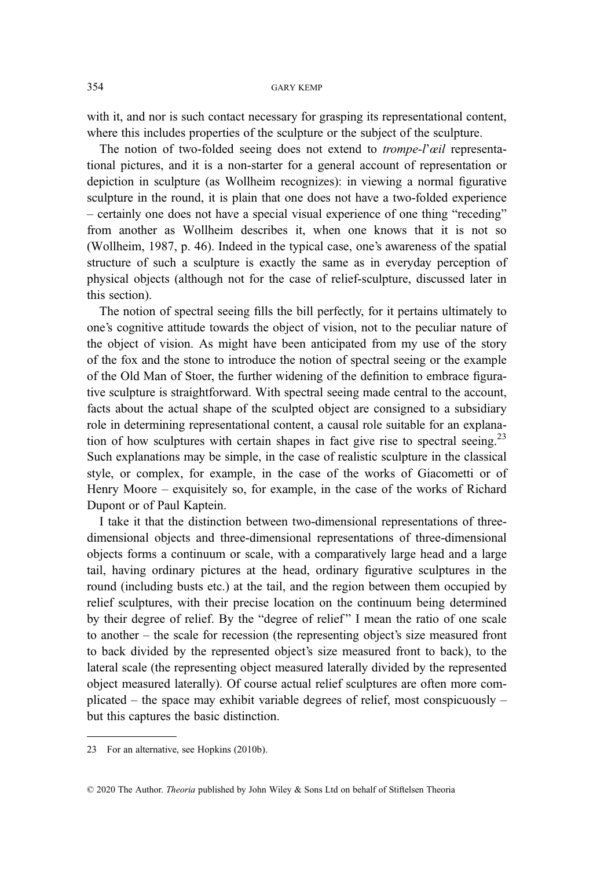with it, and nor is such contact necessary for grasping its representational content, where this includes properties of the sculpture or the subject of the sculpture.

The notion of two-folded seeing does not extend to *trompe-l'œil* representational pictures, and it is a non-starter for a general account of representation or depiction in sculpture (as Wollheim recognizes): in viewing a normal figurative sculpture in the round, it is plain that one does not have a two-folded experience – certainly one does not have a special visual experience of one thing "receding" from another as Wollheim describes it, when one knows that it is not so (Wollheim, 1987, p. 46). Indeed in the typical case, one's awareness of the spatial structure of such a sculpture is exactly the same as in everyday perception of physical objects (although not for the case of relief-sculpture, discussed later in this section).

The notion of spectral seeing fills the bill perfectly, for it pertains ultimately to one's cognitive attitude towards the object of vision, not to the peculiar nature of the object of vision. As might have been anticipated from my use of the story of the fox and the stone to introduce the notion of spectral seeing or the example of the Old Man of Stoer, the further widening of the definition to embrace figurative sculpture is straightforward. With spectral seeing made central to the account, facts about the actual shape of the sculpted object are consigned to a subsidiary role in determining representational content, a causal role suitable for an explanation of how sculptures with certain shapes in fact give rise to spectral seeing.<sup>23</sup> Such explanations may be simple, in the case of realistic sculpture in the classical style, or complex, for example, in the case of the works of Giacometti or of Henry Moore – exquisitely so, for example, in the case of the works of Richard Dupont or of Paul Kaptein.

I take it that the distinction between two-dimensional representations of threedimensional objects and three-dimensional representations of three-dimensional objects forms a continuum or scale, with a comparatively large head and a large tail, having ordinary pictures at the head, ordinary figurative sculptures in the round (including busts etc.) at the tail, and the region between them occupied by relief sculptures, with their precise location on the continuum being determined by their degree of relief. By the "degree of relief" I mean the ratio of one scale to another – the scale for recession (the representing object's size measured front to back divided by the represented object's size measured front to back), to the lateral scale (the representing object measured laterally divided by the represented object measured laterally). Of course actual relief sculptures are often more complicated – the space may exhibit variable degrees of relief, most conspicuously – but this captures the basic distinction.

<sup>23</sup> For an alternative, see Hopkins (2010b).

<sup>© 2020</sup> The Author. Theoria published by John Wiley & Sons Ltd on behalf of Stiftelsen Theoria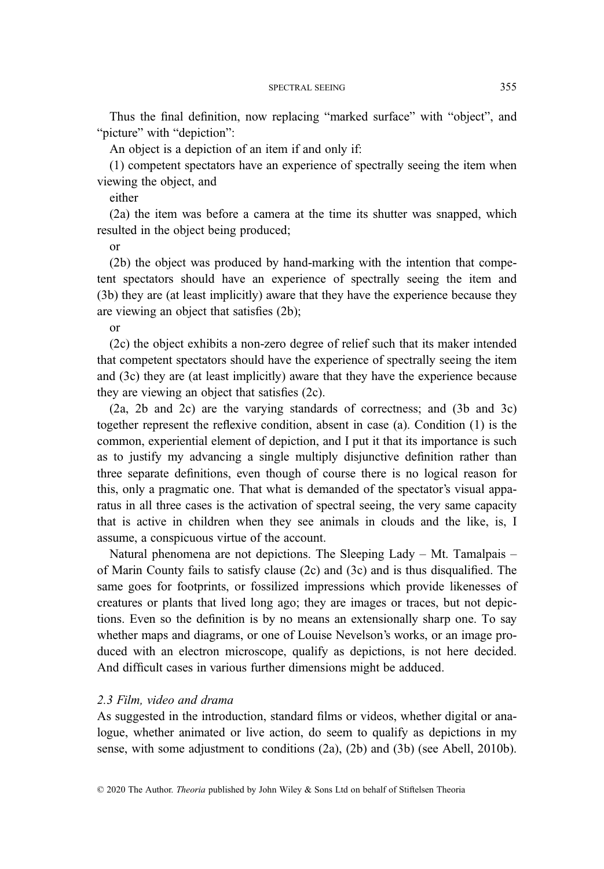Thus the final definition, now replacing "marked surface" with "object", and "picture" with "depiction":

An object is a depiction of an item if and only if:

(1) competent spectators have an experience of spectrally seeing the item when viewing the object, and

either

(2a) the item was before a camera at the time its shutter was snapped, which resulted in the object being produced;

or

(2b) the object was produced by hand-marking with the intention that competent spectators should have an experience of spectrally seeing the item and (3b) they are (at least implicitly) aware that they have the experience because they are viewing an object that satisfies (2b);

or

(2c) the object exhibits a non-zero degree of relief such that its maker intended that competent spectators should have the experience of spectrally seeing the item and (3c) they are (at least implicitly) aware that they have the experience because they are viewing an object that satisfies (2c).

(2a, 2b and 2c) are the varying standards of correctness; and (3b and 3c) together represent the reflexive condition, absent in case (a). Condition (1) is the common, experiential element of depiction, and I put it that its importance is such as to justify my advancing a single multiply disjunctive definition rather than three separate definitions, even though of course there is no logical reason for this, only a pragmatic one. That what is demanded of the spectator's visual apparatus in all three cases is the activation of spectral seeing, the very same capacity that is active in children when they see animals in clouds and the like, is, I assume, a conspicuous virtue of the account.

Natural phenomena are not depictions. The Sleeping Lady – Mt. Tamalpais – of Marin County fails to satisfy clause (2c) and (3c) and is thus disqualified. The same goes for footprints, or fossilized impressions which provide likenesses of creatures or plants that lived long ago; they are images or traces, but not depictions. Even so the definition is by no means an extensionally sharp one. To say whether maps and diagrams, or one of Louise Nevelson's works, or an image produced with an electron microscope, qualify as depictions, is not here decided. And difficult cases in various further dimensions might be adduced.

## 2.3 Film, video and drama

As suggested in the introduction, standard films or videos, whether digital or analogue, whether animated or live action, do seem to qualify as depictions in my sense, with some adjustment to conditions (2a), (2b) and (3b) (see Abell, 2010b).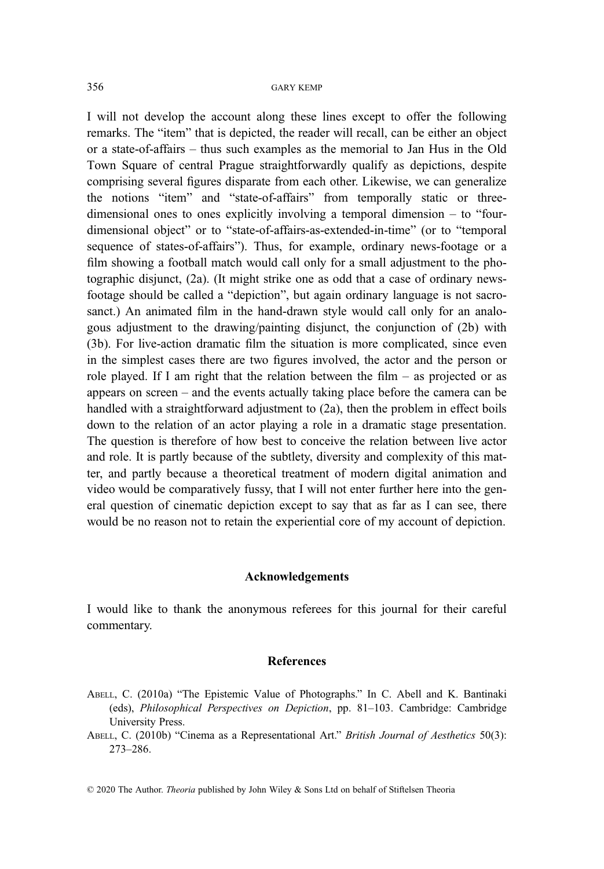I will not develop the account along these lines except to offer the following remarks. The "item" that is depicted, the reader will recall, can be either an object or a state-of-affairs – thus such examples as the memorial to Jan Hus in the Old Town Square of central Prague straightforwardly qualify as depictions, despite comprising several figures disparate from each other. Likewise, we can generalize the notions "item" and "state-of-affairs" from temporally static or threedimensional ones to ones explicitly involving a temporal dimension – to "fourdimensional object" or to "state-of-affairs-as-extended-in-time" (or to "temporal sequence of states-of-affairs"). Thus, for example, ordinary news-footage or a film showing a football match would call only for a small adjustment to the photographic disjunct, (2a). (It might strike one as odd that a case of ordinary newsfootage should be called a "depiction", but again ordinary language is not sacrosanct.) An animated film in the hand-drawn style would call only for an analogous adjustment to the drawing/painting disjunct, the conjunction of (2b) with (3b). For live-action dramatic film the situation is more complicated, since even in the simplest cases there are two figures involved, the actor and the person or role played. If I am right that the relation between the film – as projected or as appears on screen – and the events actually taking place before the camera can be handled with a straightforward adjustment to (2a), then the problem in effect boils down to the relation of an actor playing a role in a dramatic stage presentation. The question is therefore of how best to conceive the relation between live actor and role. It is partly because of the subtlety, diversity and complexity of this matter, and partly because a theoretical treatment of modern digital animation and video would be comparatively fussy, that I will not enter further here into the general question of cinematic depiction except to say that as far as I can see, there would be no reason not to retain the experiential core of my account of depiction.

## Acknowledgements

I would like to thank the anonymous referees for this journal for their careful commentary.

### References

- ABELL, C. (2010a) "The Epistemic Value of Photographs." In C. Abell and K. Bantinaki (eds), Philosophical Perspectives on Depiction, pp. 81–103. Cambridge: Cambridge University Press.
- ABELL, C. (2010b) "Cinema as a Representational Art." British Journal of Aesthetics 50(3): 273–286.

© 2020 The Author. Theoria published by John Wiley & Sons Ltd on behalf of Stiftelsen Theoria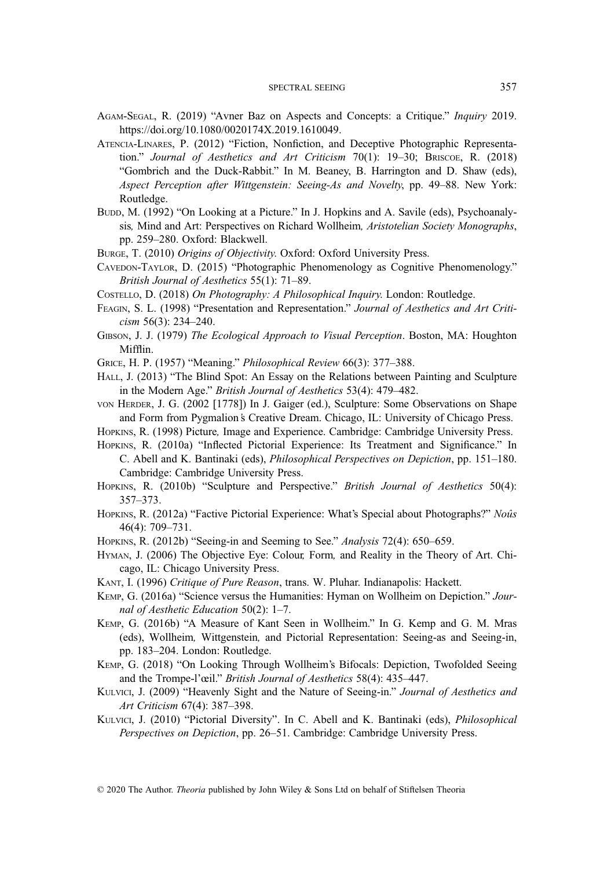- AGAM-SEGAL, R. (2019) "Avner Baz on Aspects and Concepts: a Critique." Inquiry 2019. <https://doi.org/10.1080/0020174X.2019.1610049>.
- ATENCIA-LINARES, P. (2012) "Fiction, Nonfiction, and Deceptive Photographic Representation." Journal of Aesthetics and Art Criticism 70(1): 19–30; BRISCOE, R. (2018) "Gombrich and the Duck-Rabbit." In M. Beaney, B. Harrington and D. Shaw (eds), Aspect Perception after Wittgenstein: Seeing-As and Novelty, pp. 49–88. New York: Routledge.
- BUDD, M. (1992) "On Looking at a Picture." In J. Hopkins and A. Savile (eds), Psychoanalysis, Mind and Art: Perspectives on Richard Wollheim, Aristotelian Society Monographs, pp. 259–280. Oxford: Blackwell.
- BURGE, T. (2010) Origins of Objectivity. Oxford: Oxford University Press.
- CAVEDON-TAYLOR, D. (2015) "Photographic Phenomenology as Cognitive Phenomenology." British Journal of Aesthetics 55(1): 71–89.
- COSTELLO, D. (2018) On Photography: A Philosophical Inquiry. London: Routledge.
- FEAGIN, S. L. (1998) "Presentation and Representation." Journal of Aesthetics and Art Criticism 56(3): 234–240.
- GIBSON, J. J. (1979) The Ecological Approach to Visual Perception. Boston, MA: Houghton Mifflin.
- GRICE, H. P. (1957) "Meaning." Philosophical Review 66(3): 377–388.
- HALL, J. (2013) "The Blind Spot: An Essay on the Relations between Painting and Sculpture in the Modern Age." British Journal of Aesthetics 53(4): 479–482.
- VON HERDER, J. G. (2002 [1778]) In J. Gaiger (ed.), Sculpture: Some Observations on Shape and Form from Pygmalion's Creative Dream. Chicago, IL: University of Chicago Press.
- HOPKINS, R. (1998) Picture, Image and Experience. Cambridge: Cambridge University Press.
- HOPKINS, R. (2010a) "Inflected Pictorial Experience: Its Treatment and Significance." In C. Abell and K. Bantinaki (eds), Philosophical Perspectives on Depiction, pp. 151–180. Cambridge: Cambridge University Press.
- HOPKINS, R. (2010b) "Sculpture and Perspective." British Journal of Aesthetics 50(4): 357–373.
- HOPKINS, R. (2012a) "Factive Pictorial Experience: What's Special about Photographs?" Noûs 46(4): 709–731.
- HOPKINS, R. (2012b) "Seeing-in and Seeming to See." Analysis 72(4): 650–659.
- HYMAN, J. (2006) The Objective Eye: Colour, Form, and Reality in the Theory of Art. Chicago, IL: Chicago University Press.
- KANT, I. (1996) Critique of Pure Reason, trans. W. Pluhar. Indianapolis: Hackett.
- KEMP, G. (2016a) "Science versus the Humanities: Hyman on Wollheim on Depiction." Journal of Aesthetic Education 50(2): 1–7.
- KEMP, G. (2016b) "A Measure of Kant Seen in Wollheim." In G. Kemp and G. M. Mras (eds), Wollheim, Wittgenstein, and Pictorial Representation: Seeing-as and Seeing-in, pp. 183–204. London: Routledge.
- KEMP, G. (2018) "On Looking Through Wollheim's Bifocals: Depiction, Twofolded Seeing and the Trompe-l'œil." British Journal of Aesthetics 58(4): 435–447.
- KULVICI, J. (2009) "Heavenly Sight and the Nature of Seeing-in." Journal of Aesthetics and Art Criticism 67(4): 387–398.
- KULVICI, J. (2010) "Pictorial Diversity". In C. Abell and K. Bantinaki (eds), Philosophical Perspectives on Depiction, pp. 26–51. Cambridge: Cambridge University Press.

© 2020 The Author. Theoria published by John Wiley & Sons Ltd on behalf of Stiftelsen Theoria